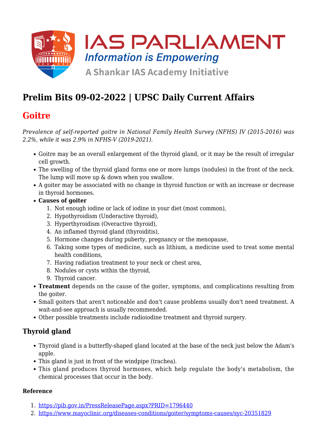

# **Prelim Bits 09-02-2022 | UPSC Daily Current Affairs**

# **Goitre**

*Prevalence of self-reported goitre in National Family Health Survey (NFHS) IV (2015-2016) was 2.2%, while it was 2.9% in NFHS-V (2019-2021).*

- Goitre may be an overall enlargement of the thyroid gland, or it may be the result of irregular cell growth.
- The swelling of the thyroid gland forms one or more lumps (nodules) in the front of the neck. The lump will move up & down when you swallow.
- A goiter may be associated with no change in thyroid function or with an increase or decrease in thyroid hormones.
- **Causes of goiter**
	- 1. Not enough iodine or lack of iodine in your diet (most common),
	- 2. Hypothyroidism (Underactive thyroid),
	- 3. Hyperthyroidism (Overactive thyroid),
	- 4. An inflamed thyroid gland (thyroiditis),
	- 5. Hormone changes during puberty, pregnancy or the menopause,
	- 6. Taking some types of medicine, such as lithium, a medicine used to treat some mental health conditions,
	- 7. Having radiation treatment to your neck or chest area,
	- 8. Nodules or cysts within the thyroid,
	- 9. Thyroid cancer.
- **Treatment** depends on the cause of the goiter, symptoms, and complications resulting from the goiter.
- Small goiters that aren't noticeable and don't cause problems usually don't need treatment. A wait-and-see approach is usually recommended.
- Other possible treatments include radioiodine treatment and thyroid surgery.

### **Thyroid gland**

- Thyroid gland is a butterfly-shaped gland located at the base of the neck just below the Adam's apple.
- This gland is just in front of the windpipe (trachea).
- This gland produces thyroid hormones, which help regulate the body's metabolism, the chemical processes that occur in the body.

### **Reference**

- 1. <https://pib.gov.in/PressReleasePage.aspx?PRID=1796440>
- 2. <https://www.mayoclinic.org/diseases-conditions/goiter/symptoms-causes/syc-20351829>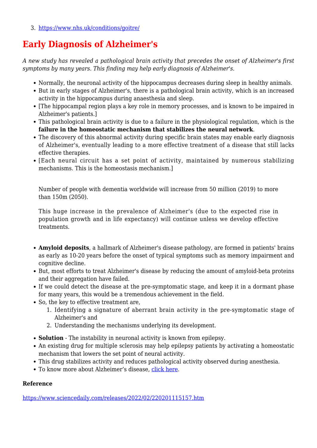3. <https://www.nhs.uk/conditions/goitre/>

### **Early Diagnosis of Alzheimer's**

*A new study has revealed a pathological brain activity that precedes the onset of Alzheimer's first symptoms by many years. This finding may help early diagnosis of Alzheimer's.*

- Normally, the neuronal activity of the hippocampus decreases during sleep in healthy animals.
- But in early stages of Alzheimer's, there is a pathological brain activity, which is an increased activity in the hippocampus during anaesthesia and sleep.
- [The hippocampal region plays a key role in memory processes, and is known to be impaired in Alzheimer's patients.]
- This pathological brain activity is due to a failure in the physiological regulation, which is the **failure in the homeostatic mechanism that stabilizes the neural network**.
- The discovery of this abnormal activity during specific brain states may enable early diagnosis of Alzheimer's, eventually leading to a more effective treatment of a disease that still lacks effective therapies.
- [Each neural circuit has a set point of activity, maintained by numerous stabilizing mechanisms. This is the homeostasis mechanism.]

Number of people with dementia worldwide will increase from 50 million (2019) to more than 150m (2050).

This huge increase in the prevalence of Alzheimer's (due to the expected rise in population growth and in life expectancy) will continue unless we develop effective treatments.

- **Amyloid deposits**, a hallmark of Alzheimer's disease pathology, are formed in patients' brains as early as 10-20 years before the onset of typical symptoms such as memory impairment and cognitive decline.
- But, most efforts to treat Alzheimer's disease by reducing the amount of amyloid-beta proteins and their aggregation have failed.
- If we could detect the disease at the pre-symptomatic stage, and keep it in a dormant phase for many years, this would be a tremendous achievement in the field.
- So, the key to effective treatment are,
	- 1. Identifying a signature of aberrant brain activity in the pre-symptomatic stage of Alzheimer's and
	- 2. Understanding the mechanisms underlying its development.
- **Solution** The instability in neuronal activity is known from epilepsy.
- An existing drug for multiple sclerosis may help epilepsy patients by activating a homeostatic mechanism that lowers the set point of neural activity.
- This drug stabilizes activity and reduces pathological activity observed during anesthesia.
- To know more about Alzheimer's disease, [click here](https://www.iasparliament.com/current-affairs/upsc-daily-current-affairs-prelim-bits-09-06-2021).

#### **Reference**

<https://www.sciencedaily.com/releases/2022/02/220201115157.htm>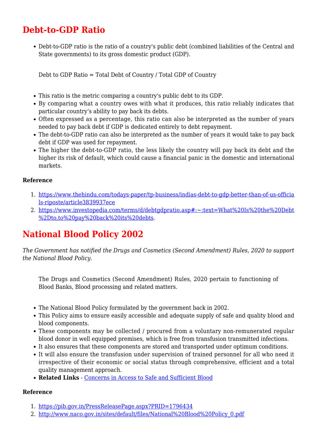### **Debt-to-GDP Ratio**

Debt-to-GDP ratio is the ratio of a country's public debt (combined liabilities of the Central and State governments) to its gross domestic product (GDP).

Debt to GDP Ratio = Total Debt of Country / Total GDP of Country

- This ratio is the metric comparing a country's public debt to its GDP.
- By comparing what a country owes with what it produces, this ratio reliably indicates that particular country's ability to pay back its debts.
- Often expressed as a percentage, this ratio can also be interpreted as the number of years needed to pay back debt if GDP is dedicated entirely to debt repayment.
- The debt-to-GDP ratio can also be interpreted as the number of years it would take to pay back debt if GDP was used for repayment.
- The higher the debt-to-GDP ratio, the less likely the country will pay back its debt and the higher its risk of default, which could cause a financial panic in the domestic and international markets.

#### **Reference**

- 1. [https://www.thehindu.com/todays-paper/tp-business/indias-debt-to-gdp-better-than-of-us-officia](https://www.thehindu.com/todays-paper/tp-business/indias-debt-to-gdp-better-than-of-us-officials-riposte/article38399371.ece) [ls-riposte/article3839937ece](https://www.thehindu.com/todays-paper/tp-business/indias-debt-to-gdp-better-than-of-us-officials-riposte/article38399371.ece)
- 2. [https://www.investopedia.com/terms/d/debtgdpratio.asp#:~:text=What%20Is%20the%20Debt](https://www.investopedia.com/terms/d/debtgdpratio.asp#:~:text=What%20Is%20the%20Debt%2Dto,to%20pay%20back%20its%20debts) [%2Dto,to%20pay%20back%20its%20debts](https://www.investopedia.com/terms/d/debtgdpratio.asp#:~:text=What%20Is%20the%20Debt%2Dto,to%20pay%20back%20its%20debts).

# **National Blood Policy 2002**

*The Government has notified the Drugs and Cosmetics (Second Amendment) Rules, 2020 to support the National Blood Policy.*

The Drugs and Cosmetics (Second Amendment) Rules, 2020 pertain to functioning of Blood Banks, Blood processing and related matters.

- The National Blood Policy formulated by the government back in 2002.
- This Policy aims to ensure easily accessible and adequate supply of safe and quality blood and blood components.
- These components may be collected / procured from a voluntary non-remunerated regular blood donor in well equipped premises, which is free from transfusion transmitted infections.
- It also ensures that these components are stored and transported under optimum conditions.
- It will also ensure the transfusion under supervision of trained personnel for all who need it irrespective of their economic or social status through comprehensive, efficient and a total quality management approach.
- **Related Links** - [Concerns in Access to Safe and Sufficient Blood](https://www.iasparliament.com/current-affairs/concerns-in-access-to-safe-and-sufficient-blood)

#### **Reference**

- 1. <https://pib.gov.in/PressReleasePage.aspx?PRID=1796434>
- 2. [http://www.naco.gov.in/sites/default/files/National%20Blood%20Policy\\_0.pdf](http://www.naco.gov.in/sites/default/files/National%20Blood%20Policy_0.pdf)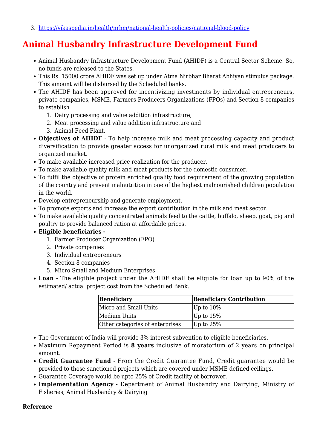3. <https://vikaspedia.in/health/nrhm/national-health-policies/national-blood-policy>

### **Animal Husbandry Infrastructure Development Fund**

- Animal Husbandry Infrastructure Development Fund (AHIDF) is a Central Sector Scheme. So, no funds are released to the States.
- This Rs. 15000 crore AHIDF was set up under Atma Nirbhar Bharat Abhiyan stimulus package. This amount will be disbursed by the Scheduled banks.
- The AHIDF has been approved for incentivizing investments by individual entrepreneurs, private companies, MSME, Farmers Producers Organizations (FPOs) and Section 8 companies to establish
	- 1. Dairy processing and value addition infrastructure,
	- 2. Meat processing and value addition infrastructure and
	- 3. Animal Feed Plant.
- **Objectives of AHIDF**  To help increase milk and meat processing capacity and product diversification to provide greater access for unorganized rural milk and meat producers to organized market.
- To make available increased price realization for the producer.
- To make available quality milk and meat products for the domestic consumer.
- To fulfil the objective of protein enriched quality food requirement of the growing population of the country and prevent malnutrition in one of the highest malnourished children population in the world.
- Develop entrepreneurship and generate employment.
- To promote exports and increase the export contribution in the milk and meat sector.
- To make available quality concentrated animals feed to the cattle, buffalo, sheep, goat, pig and poultry to provide balanced ration at affordable prices.

### **Eligible beneficiaries -**

- 1. Farmer Producer Organization (FPO)
- 2. Private companies
- 3. Individual entrepreneurs
- 4. Section 8 companies
- 5. Micro Small and Medium Enterprises
- **Loan** The eligible project under the AHIDF shall be eligible for loan up to 90% of the estimated/ actual project cost from the Scheduled Bank.

| Beneficiary                     | <b>Beneficiary Contribution</b> |
|---------------------------------|---------------------------------|
| Micro and Small Units           | $ Up \t{to} 10\%$               |
| Medium Units                    | Up to $15%$                     |
| Other categories of enterprises | $ Up to 25\%$                   |

- The Government of India will provide 3% interest subvention to eligible beneficiaries.
- Maximum Repayment Period is **8 years** inclusive of moratorium of 2 years on principal amount.
- **Credit Guarantee Fund** From the Credit Guarantee Fund, Credit guarantee would be provided to those sanctioned projects which are covered under MSME defined ceilings.
- Guarantee Coverage would be upto 25% of Credit facility of borrower.
- **Implementation Agency** Department of Animal Husbandry and Dairying, Ministry of Fisheries, Animal Husbandry & Dairying

#### **Reference**